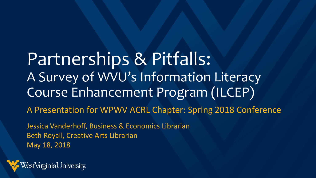Partnerships & Pitfalls: A Survey of WVU's Information Literacy Course Enhancement Program (ILCEP)

A Presentation for WPWV ACRL Chapter: Spring 2018 Conference

Jessica Vanderhoff, Business & Economics Librarian Beth Royall, Creative Arts Librarian May 18, 2018

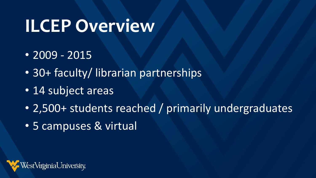# **ILCEP Overview**

- $\cdot$  2009 2015
- 30+ faculty/ librarian partnerships
- 14 subject areas
- 2,500+ students reached / primarily undergraduates
- 5 campuses & virtual

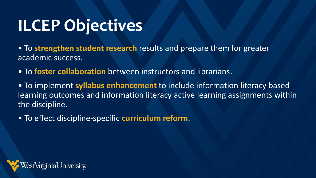# **ILCEP Objectives**

• To **strengthen student research** results and prepare them for greater academic success.

• To **foster collaboration** between instructors and librarians.

• To implement **syllabus enhancement** to include information literacy based learning outcomes and information literacy active learning assignments within the discipline.

• To effect discipline-specific **curriculum reform**.

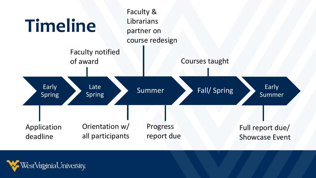

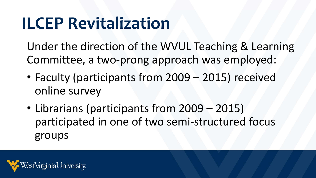# **ILCEP Revitalization**

Under the direction of the WVUL Teaching & Learning Committee, a two-prong approach was employed:

- Faculty (participants from 2009 2015) received online survey
- Librarians (participants from 2009 2015) participated in one of two semi-structured focus groups

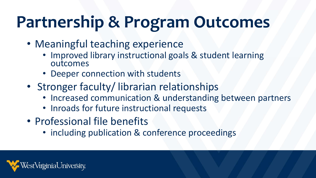# **Partnership & Program Outcomes**

- Meaningful teaching experience
	- Improved library instructional goals & student learning outcomes
	- Deeper connection with students
- Stronger faculty/ librarian relationships
	- Increased communication & understanding between partners
	- Inroads for future instructional requests
- Professional file benefits
	- including publication & conference proceedings

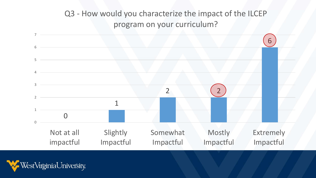#### Q3 - How would you characterize the impact of the ILCEP program on your curriculum?



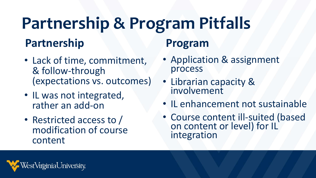### **Partnership Partnership & Program Pitfalls**

- Lack of time, commitment, & follow-through (expectations vs. outcomes)
- IL was not integrated, rather an add-on
- Restricted access to / modification of course content

#### **Program**

- Application & assignment process
- Librarian capacity & involvement
- IL enhancement not sustainable
- Course content ill-suited (based on content or level) for IL integration

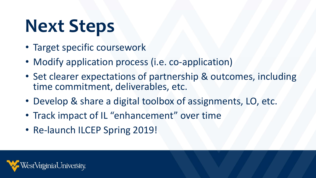# **Next Steps**

- Target specific coursework
- Modify application process (i.e. co-application)
- Set clearer expectations of partnership & outcomes, including time commitment, deliverables, etc.
- Develop & share a digital toolbox of assignments, LO, etc.
- Track impact of IL "enhancement" over time
- Re-launch ILCEP Spring 2019!